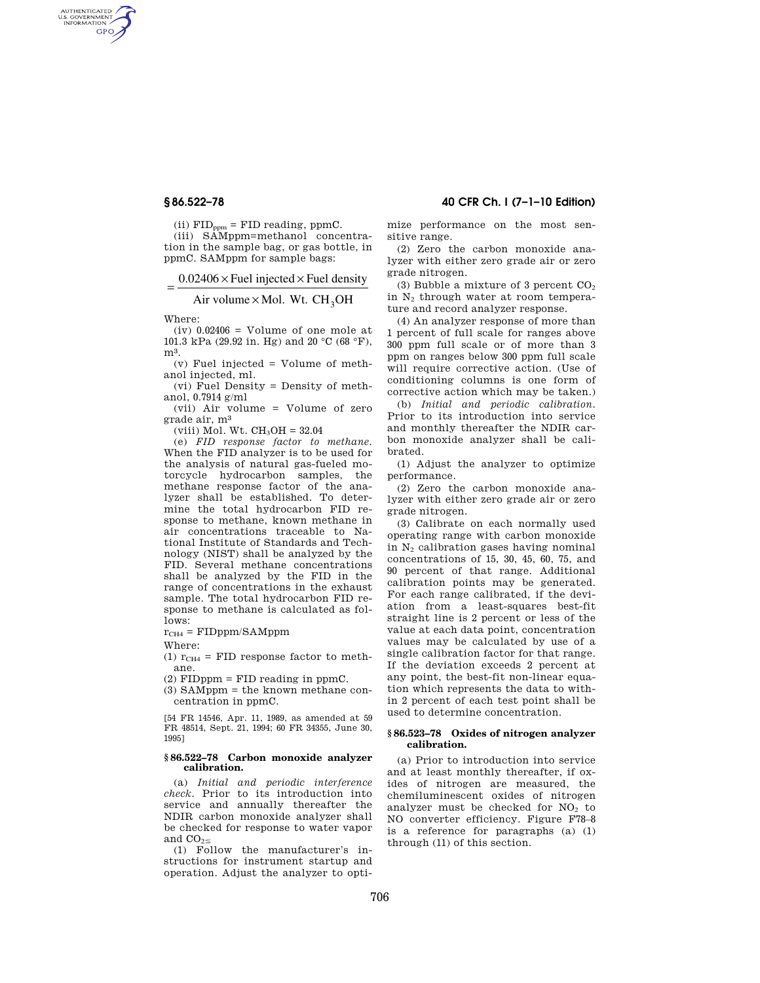AUTHENTICATED<br>U.S. GOVERNMENT<br>INFORMATION **GPO** 

(ii)  $\text{FID}_{\text{ppm}} = \text{FID reading, ppmC}.$ 

(iii) SAMppm=methanol concentration in the sample bag, or gas bottle, in ppmC. SAMppm for sample bags:

$$
= \frac{0.02406 \times \text{Fuel injected} \times \text{Fuel density}}{0.02406 \times \text{Fuel density}}
$$

Air volume $\times$ Mol. Wt. CH<sub>3</sub>OH

Where:

 $(iv)$  0.02406 = Volume of one mole at 101.3 kPa (29.92 in. Hg) and 20  $^{\circ}\textrm{C}$  (68  $^{\circ}\textrm{F}),$ m3.

(v) Fuel injected = Volume of methanol injected, ml.

(vi) Fuel Density = Density of methanol, 0.7914 g/ml

(vii) Air volume = Volume of zero grade air, m3

(viii) Mol. Wt.  $CH<sub>3</sub>OH = 32.04$ 

(e) *FID response factor to methane.*  When the FID analyzer is to be used for the analysis of natural gas-fueled motorcycle hydrocarbon samples, the methane response factor of the analyzer shall be established. To determine the total hydrocarbon FID response to methane, known methane in air concentrations traceable to National Institute of Standards and Technology (NIST) shall be analyzed by the FID. Several methane concentrations shall be analyzed by the FID in the range of concentrations in the exhaust sample. The total hydrocarbon FID response to methane is calculated as follows:

 $r_{CH4}$  = FIDppm/SAMppm

Where:

(1)  $r_{CH4}$  = FID response factor to methane.

 $(2)$  FIDppm = FID reading in ppmC.

(3) SAMppm = the known methane concentration in ppmC.

[54 FR 14546, Apr. 11, 1989, as amended at 59 FR 48514, Sept. 21, 1994; 60 FR 34355, June 30, 1995]

## **§ 86.522–78 Carbon monoxide analyzer calibration.**

(a) *Initial and periodic interference check.* Prior to its introduction into service and annually thereafter the NDIR carbon monoxide analyzer shall be checked for response to water vapor and  $CO_{2\leq}$ 

(1) Follow the manufacturer's instructions for instrument startup and operation. Adjust the analyzer to opti-

**§ 86.522–78 40 CFR Ch. I (7–1–10 Edition)** 

mize performance on the most sensitive range.

(2) Zero the carbon monoxide analyzer with either zero grade air or zero grade nitrogen.

(3) Bubble a mixture of 3 percent  $CO<sub>2</sub>$ in  $N_2$  through water at room temperature and record analyzer response.

(4) An analyzer response of more than 1 percent of full scale for ranges above 300 ppm full scale or of more than 3 ppm on ranges below 300 ppm full scale will require corrective action. (Use of conditioning columns is one form of corrective action which may be taken.)

(b) *Initial and periodic calibration.*  Prior to its introduction into service and monthly thereafter the NDIR carbon monoxide analyzer shall be calibrated.

(1) Adjust the analyzer to optimize performance.

(2) Zero the carbon monoxide analyzer with either zero grade air or zero grade nitrogen.

(3) Calibrate on each normally used operating range with carbon monoxide in  $N_2$  calibration gases having nominal concentrations of 15, 30, 45, 60, 75, and 90 percent of that range. Additional calibration points may be generated. For each range calibrated, if the deviation from a least-squares best-fit straight line is 2 percent or less of the value at each data point, concentration values may be calculated by use of a single calibration factor for that range. If the deviation exceeds 2 percent at any point, the best-fit non-linear equation which represents the data to within 2 percent of each test point shall be used to determine concentration.

### **§ 86.523–78 Oxides of nitrogen analyzer calibration.**

(a) Prior to introduction into service and at least monthly thereafter, if oxides of nitrogen are measured, the chemiluminescent oxides of nitrogen analyzer must be checked for  $NO<sub>2</sub>$  to NO converter efficiency. Figure F78–8 is a reference for paragraphs (a) (1) through (11) of this section.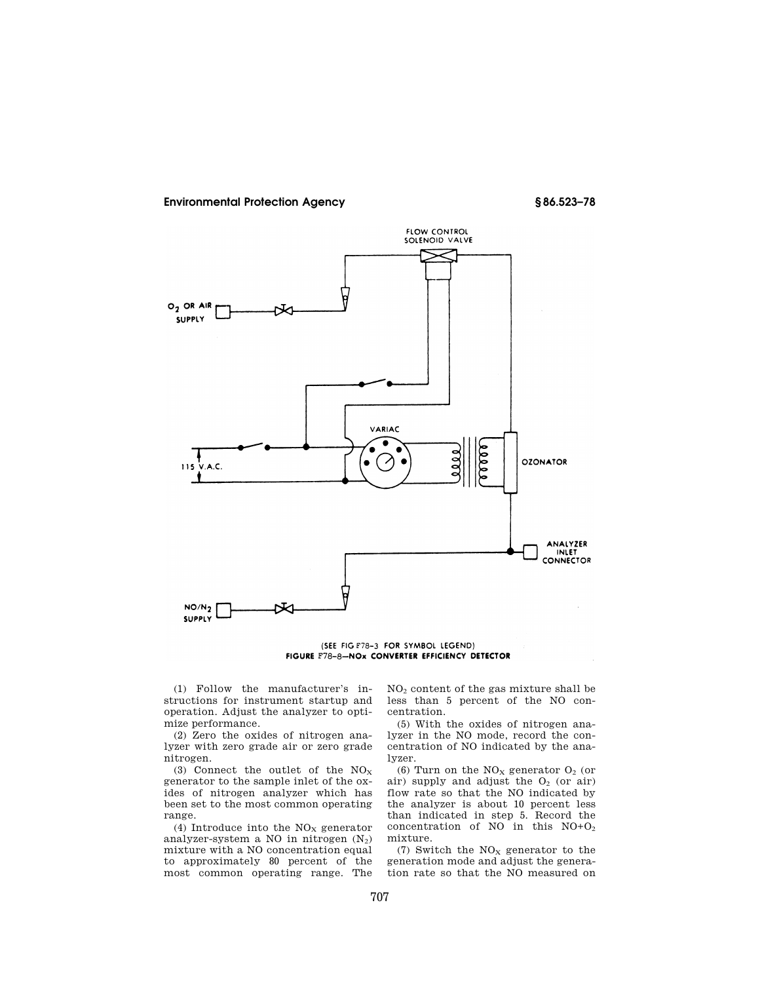# **Environmental Protection Agency § 86.523–78**



(SEE FIG F78-3 FOR SYMBOL LEGEND) FIGURE F78-8-NOx CONVERTER EFFICIENCY DETECTOR

(1) Follow the manufacturer's instructions for instrument startup and operation. Adjust the analyzer to optimize performance.

(2) Zero the oxides of nitrogen analyzer with zero grade air or zero grade nitrogen.

(3) Connect the outlet of the  $NO<sub>x</sub>$ generator to the sample inlet of the oxides of nitrogen analyzer which has been set to the most common operating range.

(4) Introduce into the  $NO<sub>x</sub>$  generator analyzer-system a NO in nitrogen  $(N_2)$ mixture with a NO concentration equal to approximately 80 percent of the most common operating range. The

NO<sup>2</sup> content of the gas mixture shall be less than 5 percent of the NO concentration.

(5) With the oxides of nitrogen analyzer in the NO mode, record the concentration of NO indicated by the analyzer.

(6) Turn on the  $NO<sub>x</sub>$  generator  $O<sub>2</sub>$  (or air) supply and adjust the  $O<sub>2</sub>$  (or air) flow rate so that the NO indicated by the analyzer is about 10 percent less than indicated in step 5. Record the concentration of NO in this NO+O<sup>2</sup> mixture.

(7) Switch the  $\rm{NO_{X}}$  generator to the generation mode and adjust the generation rate so that the NO measured on